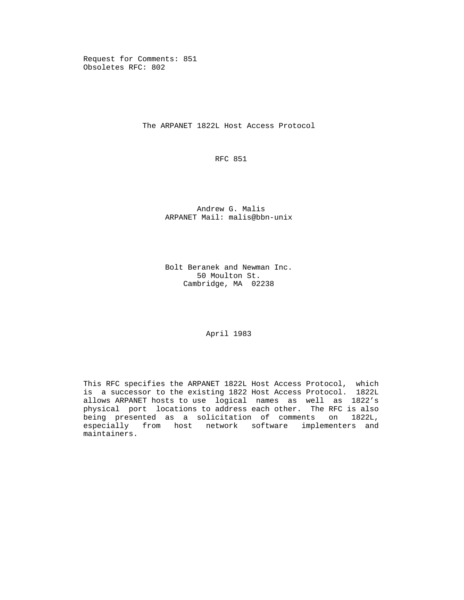Request for Comments: 851 Obsoletes RFC: 802

The ARPANET 1822L Host Access Protocol

RFC 851

 Andrew G. Malis ARPANET Mail: malis@bbn-unix

 Bolt Beranek and Newman Inc. 50 Moulton St. Cambridge, MA 02238

April 1983

 This RFC specifies the ARPANET 1822L Host Access Protocol, which is a successor to the existing 1822 Host Access Protocol. 1822L allows ARPANET hosts to use logical names as well as 1822's physical port locations to address each other. The RFC is also being presented as a solicitation of comments on 1822L, especially from host network software implementers and maintainers.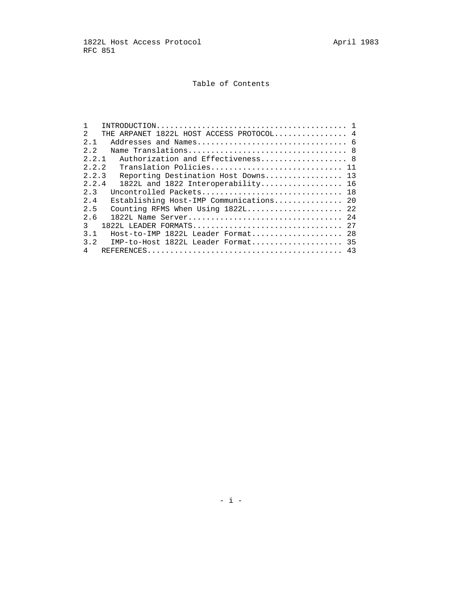# Table of Contents

| $INTRODUCTION \ldots \ldots \ldots \ldots \ldots \ldots \ldots \ldots \ldots \ldots \ldots \ldots \ldots 1$ |  |
|-------------------------------------------------------------------------------------------------------------|--|
| THE ARPANET 1822L HOST ACCESS PROTOCOL 4<br>$\mathfrak{D}$                                                  |  |
| 2.1                                                                                                         |  |
| 2.2                                                                                                         |  |
| 2.2.1<br>Authorization and Effectiveness 8                                                                  |  |
| 2.2.2<br>Translation Policies 11                                                                            |  |
| 2.2.3<br>Reporting Destination Host Downs 13                                                                |  |
| 2.2.4<br>1822L and 1822 Interoperability 16                                                                 |  |
| Uncontrolled Packets 18<br>2 <sup>2</sup>                                                                   |  |
| Establishing Host-IMP Communications 20<br>2.4                                                              |  |
| 2.5<br>Counting RFMS When Using 1822L 22                                                                    |  |
| 2.6                                                                                                         |  |
| 3<br>1822L LEADER FORMATS 27                                                                                |  |
| 3.1<br>Host-to-IMP 1822L Leader Format 28                                                                   |  |
| 3.2<br>IMP-to-Host 1822L Leader Format 35                                                                   |  |
| 4                                                                                                           |  |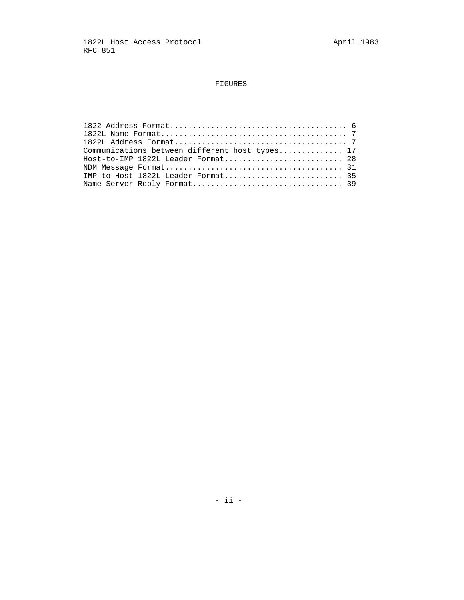# FIGURES

| Communications between different host types 17 |
|------------------------------------------------|
| Host-to-IMP 1822L Leader Format 28             |
|                                                |
| IMP-to-Host 1822L Leader Format 35             |
|                                                |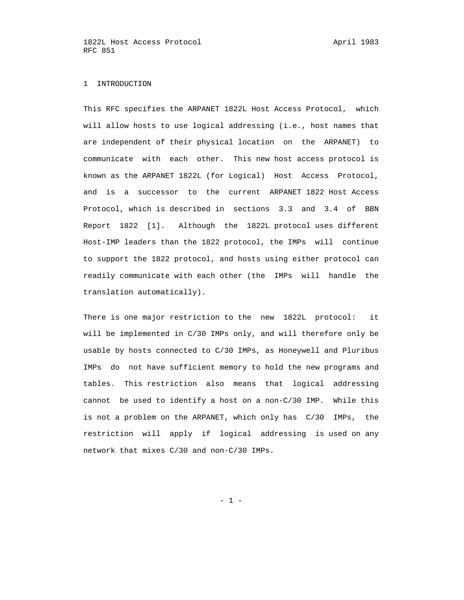#### 1 INTRODUCTION

 This RFC specifies the ARPANET 1822L Host Access Protocol, which will allow hosts to use logical addressing (i.e., host names that are independent of their physical location on the ARPANET) to communicate with each other. This new host access protocol is known as the ARPANET 1822L (for Logical) Host Access Protocol, and is a successor to the current ARPANET 1822 Host Access Protocol, which is described in sections 3.3 and 3.4 of BBN Report 1822 [1]. Although the 1822L protocol uses different Host-IMP leaders than the 1822 protocol, the IMPs will continue to support the 1822 protocol, and hosts using either protocol can readily communicate with each other (the IMPs will handle the translation automatically).

 There is one major restriction to the new 1822L protocol: it will be implemented in C/30 IMPs only, and will therefore only be usable by hosts connected to C/30 IMPs, as Honeywell and Pluribus IMPs do not have sufficient memory to hold the new programs and tables. This restriction also means that logical addressing cannot be used to identify a host on a non-C/30 IMP. While this is not a problem on the ARPANET, which only has C/30 IMPs, the restriction will apply if logical addressing is used on any network that mixes C/30 and non-C/30 IMPs.

- 1 -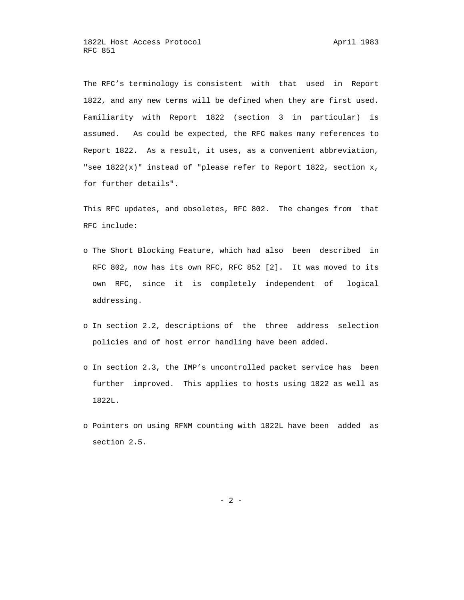The RFC's terminology is consistent with that used in Report 1822, and any new terms will be defined when they are first used. Familiarity with Report 1822 (section 3 in particular) is assumed. As could be expected, the RFC makes many references to Report 1822. As a result, it uses, as a convenient abbreviation, "see 1822(x)" instead of "please refer to Report 1822, section x, for further details".

 This RFC updates, and obsoletes, RFC 802. The changes from that RFC include:

- o The Short Blocking Feature, which had also been described in RFC 802, now has its own RFC, RFC 852 [2]. It was moved to its own RFC, since it is completely independent of logical addressing.
- o In section 2.2, descriptions of the three address selection policies and of host error handling have been added.
- o In section 2.3, the IMP's uncontrolled packet service has been further improved. This applies to hosts using 1822 as well as 1822L.
- o Pointers on using RFNM counting with 1822L have been added as section 2.5.

- 2 -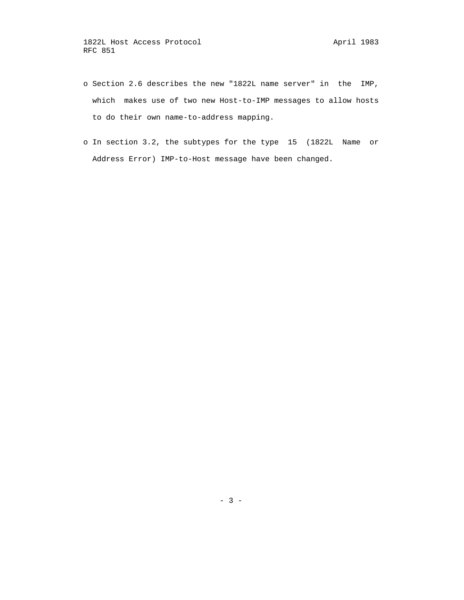- o Section 2.6 describes the new "1822L name server" in the IMP, which makes use of two new Host-to-IMP messages to allow hosts to do their own name-to-address mapping.
- o In section 3.2, the subtypes for the type 15 (1822L Name or Address Error) IMP-to-Host message have been changed.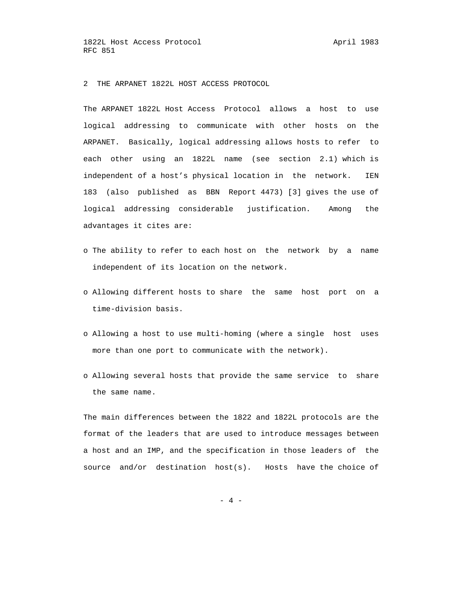2 THE ARPANET 1822L HOST ACCESS PROTOCOL

 The ARPANET 1822L Host Access Protocol allows a host to use logical addressing to communicate with other hosts on the ARPANET. Basically, logical addressing allows hosts to refer to each other using an 1822L name (see section 2.1) which is independent of a host's physical location in the network. IEN 183 (also published as BBN Report 4473) [3] gives the use of logical addressing considerable justification. Among the advantages it cites are:

- o The ability to refer to each host on the network by a name independent of its location on the network.
- o Allowing different hosts to share the same host port on a time-division basis.
- o Allowing a host to use multi-homing (where a single host uses more than one port to communicate with the network).
- o Allowing several hosts that provide the same service to share the same name.

 The main differences between the 1822 and 1822L protocols are the format of the leaders that are used to introduce messages between a host and an IMP, and the specification in those leaders of the source and/or destination host(s). Hosts have the choice of

- 4 -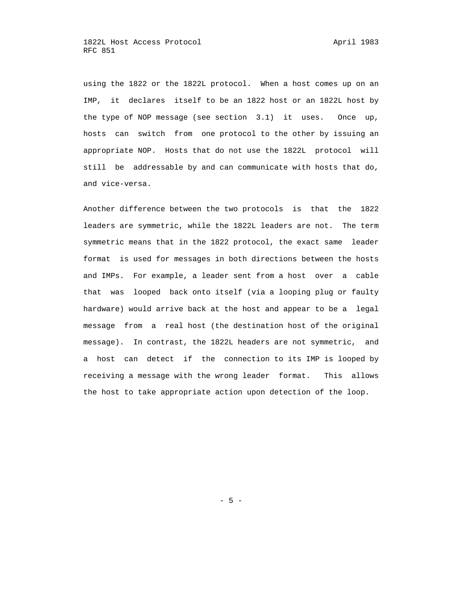using the 1822 or the 1822L protocol. When a host comes up on an IMP, it declares itself to be an 1822 host or an 1822L host by the type of NOP message (see section 3.1) it uses. Once up, hosts can switch from one protocol to the other by issuing an appropriate NOP. Hosts that do not use the 1822L protocol will still be addressable by and can communicate with hosts that do, and vice-versa.

 Another difference between the two protocols is that the 1822 leaders are symmetric, while the 1822L leaders are not. The term symmetric means that in the 1822 protocol, the exact same leader format is used for messages in both directions between the hosts and IMPs. For example, a leader sent from a host over a cable that was looped back onto itself (via a looping plug or faulty hardware) would arrive back at the host and appear to be a legal message from a real host (the destination host of the original message). In contrast, the 1822L headers are not symmetric, and a host can detect if the connection to its IMP is looped by receiving a message with the wrong leader format. This allows the host to take appropriate action upon detection of the loop.

- 5 -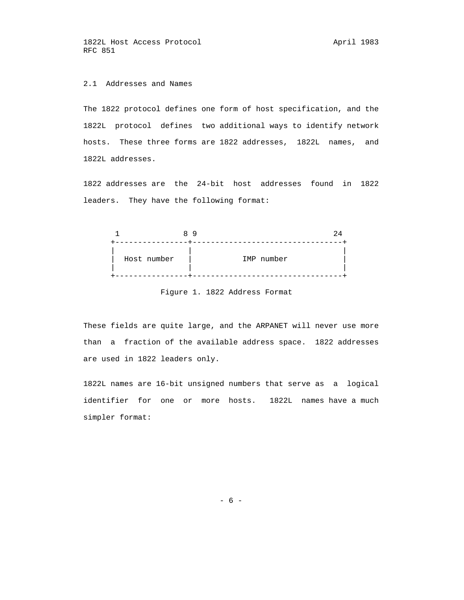# 2.1 Addresses and Names

 The 1822 protocol defines one form of host specification, and the 1822L protocol defines two additional ways to identify network hosts. These three forms are 1822 addresses, 1822L names, and 1822L addresses.

 1822 addresses are the 24-bit host addresses found in 1822 leaders. They have the following format:



Figure 1. 1822 Address Format

 These fields are quite large, and the ARPANET will never use more than a fraction of the available address space. 1822 addresses are used in 1822 leaders only.

 1822L names are 16-bit unsigned numbers that serve as a logical identifier for one or more hosts. 1822L names have a much simpler format:

 $- 6 -$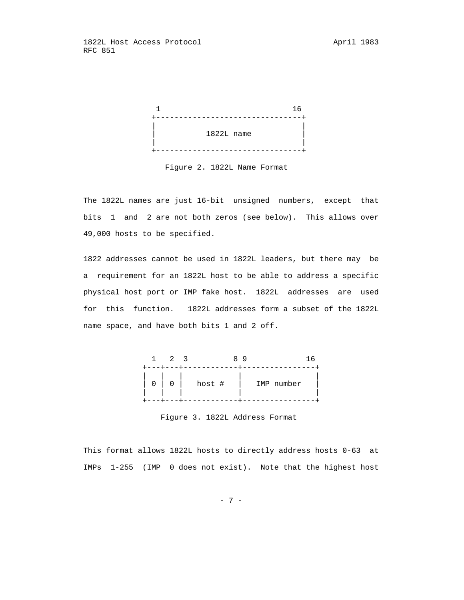

Figure 2. 1822L Name Format

 The 1822L names are just 16-bit unsigned numbers, except that bits 1 and 2 are not both zeros (see below). This allows over 49,000 hosts to be specified.

 1822 addresses cannot be used in 1822L leaders, but there may be a requirement for an 1822L host to be able to address a specific physical host port or IMP fake host. 1822L addresses are used for this function. 1822L addresses form a subset of the 1822L name space, and have both bits 1 and 2 off.



Figure 3. 1822L Address Format

 This format allows 1822L hosts to directly address hosts 0-63 at IMPs 1-255 (IMP 0 does not exist). Note that the highest host

- 7 -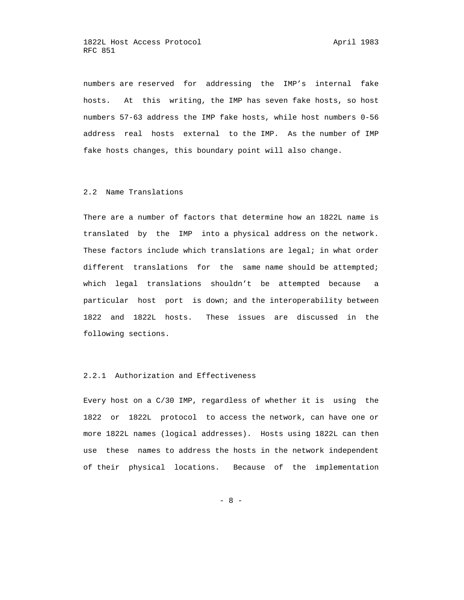numbers are reserved for addressing the IMP's internal fake hosts. At this writing, the IMP has seven fake hosts, so host numbers 57-63 address the IMP fake hosts, while host numbers 0-56 address real hosts external to the IMP. As the number of IMP fake hosts changes, this boundary point will also change.

## 2.2 Name Translations

 There are a number of factors that determine how an 1822L name is translated by the IMP into a physical address on the network. These factors include which translations are legal; in what order different translations for the same name should be attempted; which legal translations shouldn't be attempted because a particular host port is down; and the interoperability between 1822 and 1822L hosts. These issues are discussed in the following sections.

## 2.2.1 Authorization and Effectiveness

 Every host on a C/30 IMP, regardless of whether it is using the 1822 or 1822L protocol to access the network, can have one or more 1822L names (logical addresses). Hosts using 1822L can then use these names to address the hosts in the network independent of their physical locations. Because of the implementation

- 8 -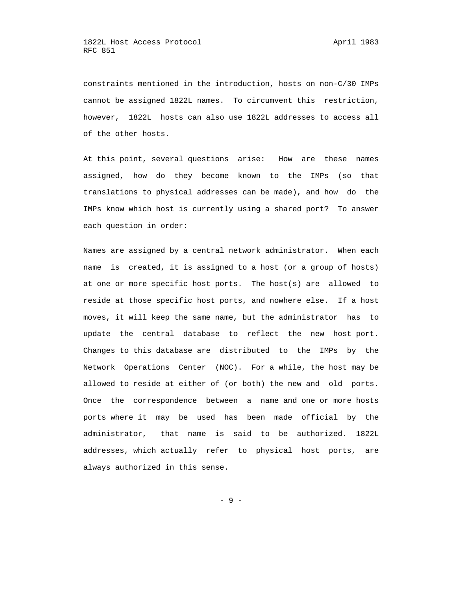constraints mentioned in the introduction, hosts on non-C/30 IMPs cannot be assigned 1822L names. To circumvent this restriction, however, 1822L hosts can also use 1822L addresses to access all of the other hosts.

 At this point, several questions arise: How are these names assigned, how do they become known to the IMPs (so that translations to physical addresses can be made), and how do the IMPs know which host is currently using a shared port? To answer each question in order:

 Names are assigned by a central network administrator. When each name is created, it is assigned to a host (or a group of hosts) at one or more specific host ports. The host(s) are allowed to reside at those specific host ports, and nowhere else. If a host moves, it will keep the same name, but the administrator has to update the central database to reflect the new host port. Changes to this database are distributed to the IMPs by the Network Operations Center (NOC). For a while, the host may be allowed to reside at either of (or both) the new and old ports. Once the correspondence between a name and one or more hosts ports where it may be used has been made official by the administrator, that name is said to be authorized. 1822L addresses, which actually refer to physical host ports, are always authorized in this sense.

- 9 -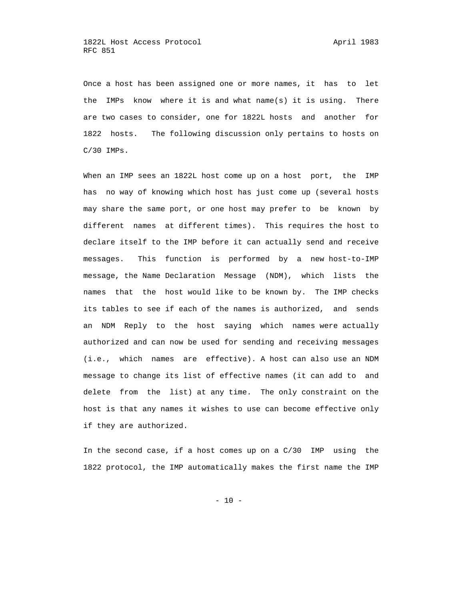Once a host has been assigned one or more names, it has to let the IMPs know where it is and what name(s) it is using. There are two cases to consider, one for 1822L hosts and another for 1822 hosts. The following discussion only pertains to hosts on C/30 IMPs.

 When an IMP sees an 1822L host come up on a host port, the IMP has no way of knowing which host has just come up (several hosts may share the same port, or one host may prefer to be known by different names at different times). This requires the host to declare itself to the IMP before it can actually send and receive messages. This function is performed by a new host-to-IMP message, the Name Declaration Message (NDM), which lists the names that the host would like to be known by. The IMP checks its tables to see if each of the names is authorized, and sends an NDM Reply to the host saying which names were actually authorized and can now be used for sending and receiving messages (i.e., which names are effective). A host can also use an NDM message to change its list of effective names (it can add to and delete from the list) at any time. The only constraint on the host is that any names it wishes to use can become effective only if they are authorized.

 In the second case, if a host comes up on a C/30 IMP using the 1822 protocol, the IMP automatically makes the first name the IMP

 $- 10 -$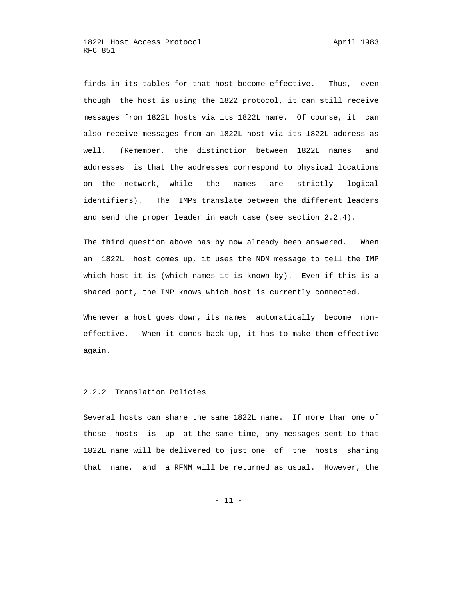finds in its tables for that host become effective. Thus, even though the host is using the 1822 protocol, it can still receive messages from 1822L hosts via its 1822L name. Of course, it can also receive messages from an 1822L host via its 1822L address as well. (Remember, the distinction between 1822L names and addresses is that the addresses correspond to physical locations on the network, while the names are strictly logical identifiers). The IMPs translate between the different leaders and send the proper leader in each case (see section 2.2.4).

 The third question above has by now already been answered. When an 1822L host comes up, it uses the NDM message to tell the IMP which host it is (which names it is known by). Even if this is a shared port, the IMP knows which host is currently connected.

 Whenever a host goes down, its names automatically become non effective. When it comes back up, it has to make them effective again.

## 2.2.2 Translation Policies

 Several hosts can share the same 1822L name. If more than one of these hosts is up at the same time, any messages sent to that 1822L name will be delivered to just one of the hosts sharing that name, and a RFNM will be returned as usual. However, the

 $- 11 -$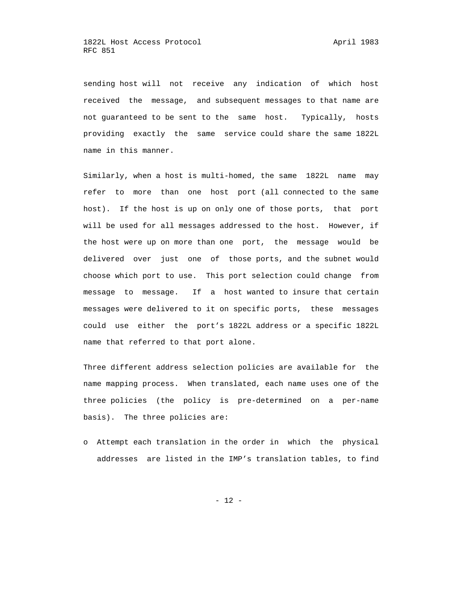sending host will not receive any indication of which host received the message, and subsequent messages to that name are not guaranteed to be sent to the same host. Typically, hosts providing exactly the same service could share the same 1822L name in this manner.

 Similarly, when a host is multi-homed, the same 1822L name may refer to more than one host port (all connected to the same host). If the host is up on only one of those ports, that port will be used for all messages addressed to the host. However, if the host were up on more than one port, the message would be delivered over just one of those ports, and the subnet would choose which port to use. This port selection could change from message to message. If a host wanted to insure that certain messages were delivered to it on specific ports, these messages could use either the port's 1822L address or a specific 1822L name that referred to that port alone.

 Three different address selection policies are available for the name mapping process. When translated, each name uses one of the three policies (the policy is pre-determined on a per-name basis). The three policies are:

 o Attempt each translation in the order in which the physical addresses are listed in the IMP's translation tables, to find

- 12 -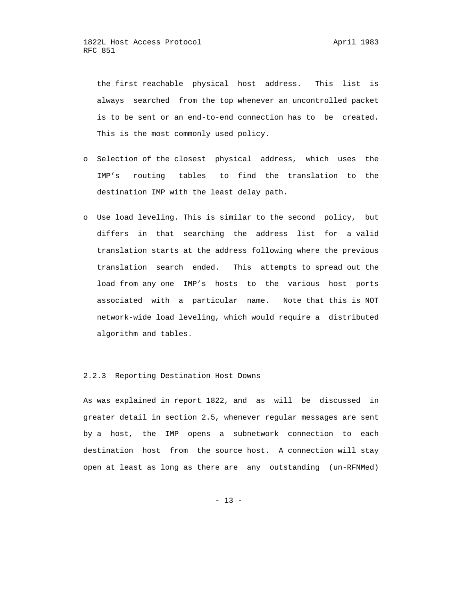the first reachable physical host address. This list is always searched from the top whenever an uncontrolled packet is to be sent or an end-to-end connection has to be created. This is the most commonly used policy.

- o Selection of the closest physical address, which uses the IMP's routing tables to find the translation to the destination IMP with the least delay path.
- o Use load leveling. This is similar to the second policy, but differs in that searching the address list for a valid translation starts at the address following where the previous translation search ended. This attempts to spread out the load from any one IMP's hosts to the various host ports associated with a particular name. Note that this is NOT network-wide load leveling, which would require a distributed algorithm and tables.

## 2.2.3 Reporting Destination Host Downs

 As was explained in report 1822, and as will be discussed in greater detail in section 2.5, whenever regular messages are sent by a host, the IMP opens a subnetwork connection to each destination host from the source host. A connection will stay open at least as long as there are any outstanding (un-RFNMed)

 $- 13 -$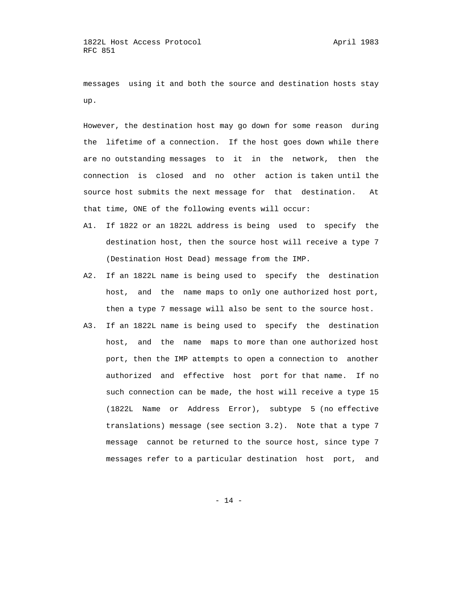messages using it and both the source and destination hosts stay up.

 However, the destination host may go down for some reason during the lifetime of a connection. If the host goes down while there are no outstanding messages to it in the network, then the connection is closed and no other action is taken until the source host submits the next message for that destination. At that time, ONE of the following events will occur:

- A1. If 1822 or an 1822L address is being used to specify the destination host, then the source host will receive a type 7 (Destination Host Dead) message from the IMP.
- A2. If an 1822L name is being used to specify the destination host, and the name maps to only one authorized host port, then a type 7 message will also be sent to the source host.
- A3. If an 1822L name is being used to specify the destination host, and the name maps to more than one authorized host port, then the IMP attempts to open a connection to another authorized and effective host port for that name. If no such connection can be made, the host will receive a type 15 (1822L Name or Address Error), subtype 5 (no effective translations) message (see section 3.2). Note that a type 7 message cannot be returned to the source host, since type 7 messages refer to a particular destination host port, and

- 14 -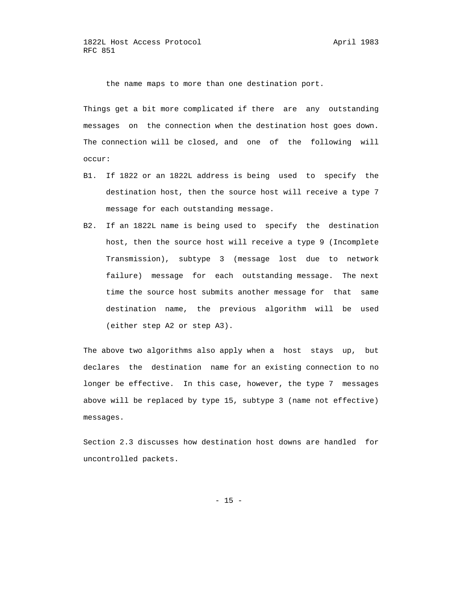the name maps to more than one destination port.

 Things get a bit more complicated if there are any outstanding messages on the connection when the destination host goes down. The connection will be closed, and one of the following will occur:

- B1. If 1822 or an 1822L address is being used to specify the destination host, then the source host will receive a type 7 message for each outstanding message.
- B2. If an 1822L name is being used to specify the destination host, then the source host will receive a type 9 (Incomplete Transmission), subtype 3 (message lost due to network failure) message for each outstanding message. The next time the source host submits another message for that same destination name, the previous algorithm will be used (either step A2 or step A3).

 The above two algorithms also apply when a host stays up, but declares the destination name for an existing connection to no longer be effective. In this case, however, the type 7 messages above will be replaced by type 15, subtype 3 (name not effective) messages.

 Section 2.3 discusses how destination host downs are handled for uncontrolled packets.

 $- 15 -$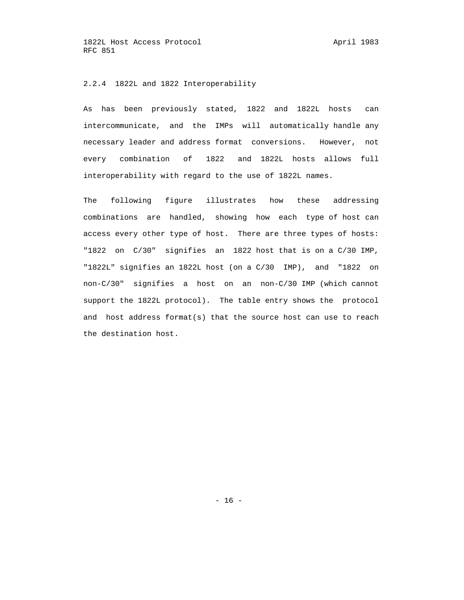## 2.2.4 1822L and 1822 Interoperability

 As has been previously stated, 1822 and 1822L hosts can intercommunicate, and the IMPs will automatically handle any necessary leader and address format conversions. However, not every combination of 1822 and 1822L hosts allows full interoperability with regard to the use of 1822L names.

 The following figure illustrates how these addressing combinations are handled, showing how each type of host can access every other type of host. There are three types of hosts: "1822 on C/30" signifies an 1822 host that is on a C/30 IMP, "1822L" signifies an 1822L host (on a C/30 IMP), and "1822 on non-C/30" signifies a host on an non-C/30 IMP (which cannot support the 1822L protocol). The table entry shows the protocol and host address format(s) that the source host can use to reach the destination host.

- 16 -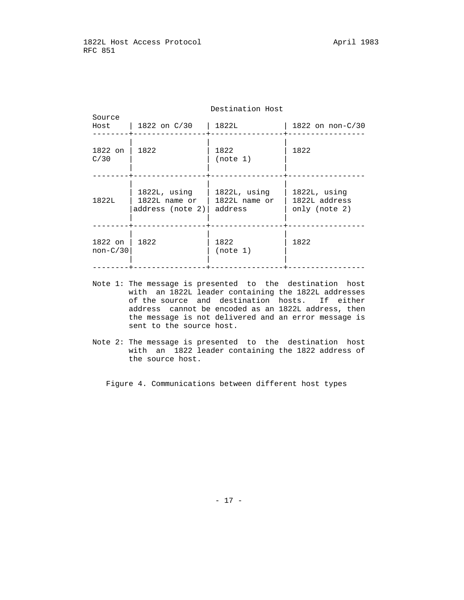| Source<br>Host        | 1822 on C/30                                        | 1822L                                    | 1822 on $non-C/30$                                |  |  |
|-----------------------|-----------------------------------------------------|------------------------------------------|---------------------------------------------------|--|--|
| 1822 on<br>C/30       | 1822                                                | 1822<br>(note 1)                         | 1822                                              |  |  |
| 1822L                 | 1822L, using<br>$1822L$ name or<br>address (note 2) | 1822L, using<br>1822L name or<br>address | $1822L$ , using<br>1822L address<br>only (note 2) |  |  |
| 1822 on<br>$non-C/30$ | 1822                                                | 1822<br>(note 1)                         | 1822                                              |  |  |

## Destination Host

- Note 1: The message is presented to the destination host with an 1822L leader containing the 1822L addresses of the source and destination hosts. If either address cannot be encoded as an 1822L address, then the message is not delivered and an error message is sent to the source host.
- Note 2: The message is presented to the destination host with an 1822 leader containing the 1822 address of the source host.

Figure 4. Communications between different host types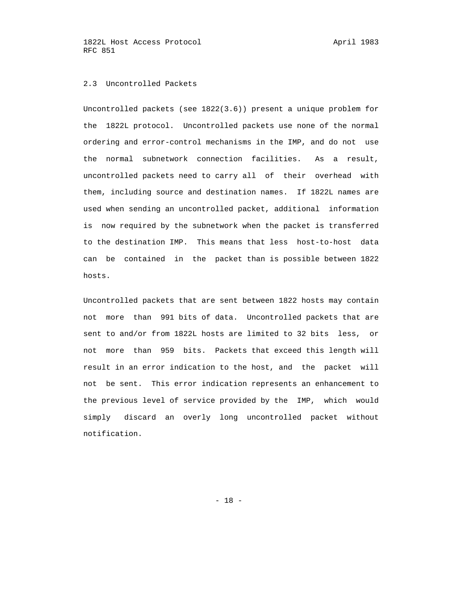## 2.3 Uncontrolled Packets

 Uncontrolled packets (see 1822(3.6)) present a unique problem for the 1822L protocol. Uncontrolled packets use none of the normal ordering and error-control mechanisms in the IMP, and do not use the normal subnetwork connection facilities. As a result, uncontrolled packets need to carry all of their overhead with them, including source and destination names. If 1822L names are used when sending an uncontrolled packet, additional information is now required by the subnetwork when the packet is transferred to the destination IMP. This means that less host-to-host data can be contained in the packet than is possible between 1822 hosts.

 Uncontrolled packets that are sent between 1822 hosts may contain not more than 991 bits of data. Uncontrolled packets that are sent to and/or from 1822L hosts are limited to 32 bits less, or not more than 959 bits. Packets that exceed this length will result in an error indication to the host, and the packet will not be sent. This error indication represents an enhancement to the previous level of service provided by the IMP, which would simply discard an overly long uncontrolled packet without notification.

- 18 -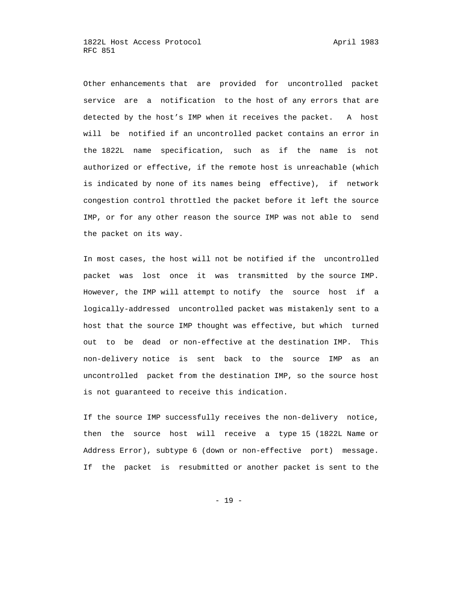Other enhancements that are provided for uncontrolled packet service are a notification to the host of any errors that are detected by the host's IMP when it receives the packet. A host will be notified if an uncontrolled packet contains an error in the 1822L name specification, such as if the name is not authorized or effective, if the remote host is unreachable (which is indicated by none of its names being effective), if network congestion control throttled the packet before it left the source IMP, or for any other reason the source IMP was not able to send the packet on its way.

 In most cases, the host will not be notified if the uncontrolled packet was lost once it was transmitted by the source IMP. However, the IMP will attempt to notify the source host if a logically-addressed uncontrolled packet was mistakenly sent to a host that the source IMP thought was effective, but which turned out to be dead or non-effective at the destination IMP. This non-delivery notice is sent back to the source IMP as an uncontrolled packet from the destination IMP, so the source host is not guaranteed to receive this indication.

 If the source IMP successfully receives the non-delivery notice, then the source host will receive a type 15 (1822L Name or Address Error), subtype 6 (down or non-effective port) message. If the packet is resubmitted or another packet is sent to the

- 19 -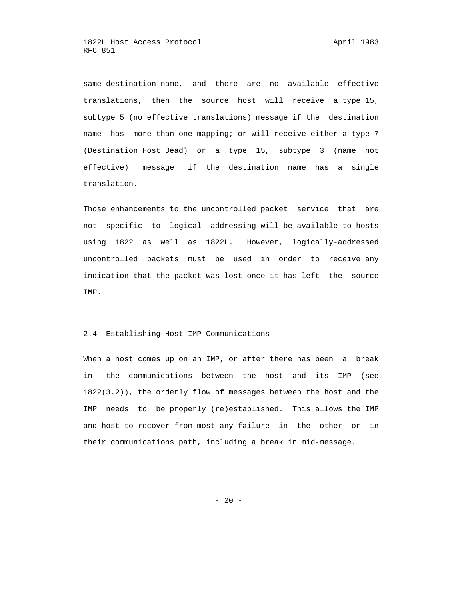same destination name, and there are no available effective translations, then the source host will receive a type 15, subtype 5 (no effective translations) message if the destination name has more than one mapping; or will receive either a type 7 (Destination Host Dead) or a type 15, subtype 3 (name not effective) message if the destination name has a single translation.

 Those enhancements to the uncontrolled packet service that are not specific to logical addressing will be available to hosts using 1822 as well as 1822L. However, logically-addressed uncontrolled packets must be used in order to receive any indication that the packet was lost once it has left the source IMP.

## 2.4 Establishing Host-IMP Communications

 When a host comes up on an IMP, or after there has been a break in the communications between the host and its IMP (see 1822(3.2)), the orderly flow of messages between the host and the IMP needs to be properly (re)established. This allows the IMP and host to recover from most any failure in the other or in their communications path, including a break in mid-message.

 $- 20 -$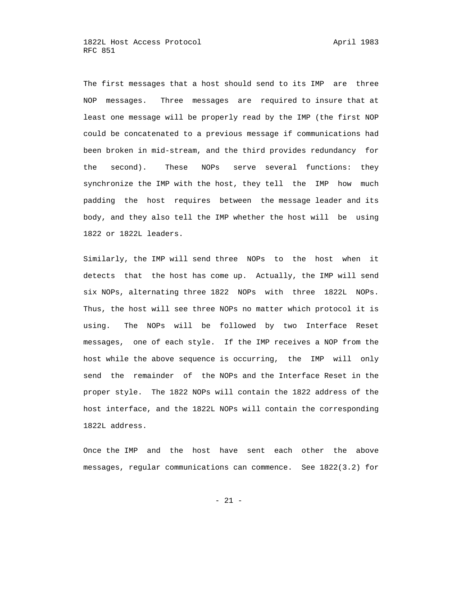The first messages that a host should send to its IMP are three NOP messages. Three messages are required to insure that at least one message will be properly read by the IMP (the first NOP could be concatenated to a previous message if communications had been broken in mid-stream, and the third provides redundancy for the second). These NOPs serve several functions: they synchronize the IMP with the host, they tell the IMP how much padding the host requires between the message leader and its body, and they also tell the IMP whether the host will be using 1822 or 1822L leaders.

 Similarly, the IMP will send three NOPs to the host when it detects that the host has come up. Actually, the IMP will send six NOPs, alternating three 1822 NOPs with three 1822L NOPs. Thus, the host will see three NOPs no matter which protocol it is using. The NOPs will be followed by two Interface Reset messages, one of each style. If the IMP receives a NOP from the host while the above sequence is occurring, the IMP will only send the remainder of the NOPs and the Interface Reset in the proper style. The 1822 NOPs will contain the 1822 address of the host interface, and the 1822L NOPs will contain the corresponding 1822L address.

 Once the IMP and the host have sent each other the above messages, regular communications can commence. See 1822(3.2) for

- 21 -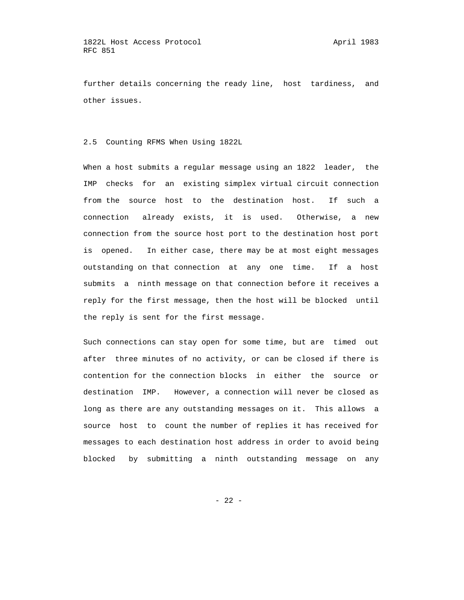further details concerning the ready line, host tardiness, and other issues.

## 2.5 Counting RFMS When Using 1822L

 When a host submits a regular message using an 1822 leader, the IMP checks for an existing simplex virtual circuit connection from the source host to the destination host. If such a connection already exists, it is used. Otherwise, a new connection from the source host port to the destination host port is opened. In either case, there may be at most eight messages outstanding on that connection at any one time. If a host submits a ninth message on that connection before it receives a reply for the first message, then the host will be blocked until the reply is sent for the first message.

 Such connections can stay open for some time, but are timed out after three minutes of no activity, or can be closed if there is contention for the connection blocks in either the source or destination IMP. However, a connection will never be closed as long as there are any outstanding messages on it. This allows a source host to count the number of replies it has received for messages to each destination host address in order to avoid being blocked by submitting a ninth outstanding message on any

- 22 -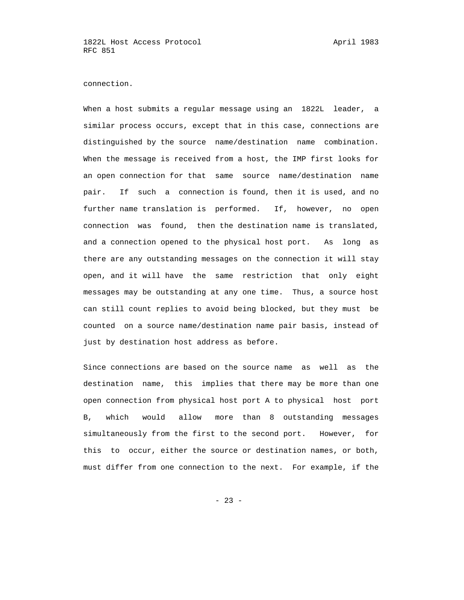connection.

 When a host submits a regular message using an 1822L leader, a similar process occurs, except that in this case, connections are distinguished by the source name/destination name combination. When the message is received from a host, the IMP first looks for an open connection for that same source name/destination name pair. If such a connection is found, then it is used, and no further name translation is performed. If, however, no open connection was found, then the destination name is translated, and a connection opened to the physical host port. As long as there are any outstanding messages on the connection it will stay open, and it will have the same restriction that only eight messages may be outstanding at any one time. Thus, a source host can still count replies to avoid being blocked, but they must be counted on a source name/destination name pair basis, instead of just by destination host address as before.

 Since connections are based on the source name as well as the destination name, this implies that there may be more than one open connection from physical host port A to physical host port B, which would allow more than 8 outstanding messages simultaneously from the first to the second port. However, for this to occur, either the source or destination names, or both, must differ from one connection to the next. For example, if the

 $- 23 -$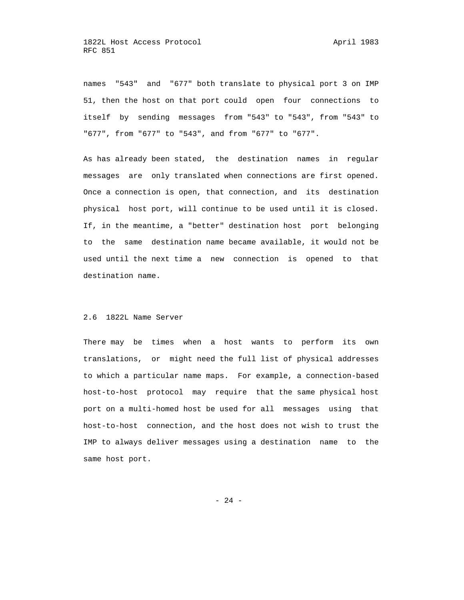names "543" and "677" both translate to physical port 3 on IMP 51, then the host on that port could open four connections to itself by sending messages from "543" to "543", from "543" to "677", from "677" to "543", and from "677" to "677".

 As has already been stated, the destination names in regular messages are only translated when connections are first opened. Once a connection is open, that connection, and its destination physical host port, will continue to be used until it is closed. If, in the meantime, a "better" destination host port belonging to the same destination name became available, it would not be used until the next time a new connection is opened to that destination name.

## 2.6 1822L Name Server

 There may be times when a host wants to perform its own translations, or might need the full list of physical addresses to which a particular name maps. For example, a connection-based host-to-host protocol may require that the same physical host port on a multi-homed host be used for all messages using that host-to-host connection, and the host does not wish to trust the IMP to always deliver messages using a destination name to the same host port.

- 24 -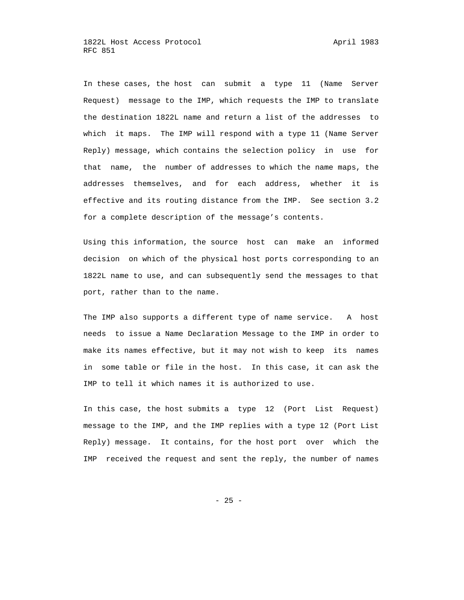In these cases, the host can submit a type 11 (Name Server Request) message to the IMP, which requests the IMP to translate the destination 1822L name and return a list of the addresses to which it maps. The IMP will respond with a type 11 (Name Server Reply) message, which contains the selection policy in use for that name, the number of addresses to which the name maps, the addresses themselves, and for each address, whether it is effective and its routing distance from the IMP. See section 3.2 for a complete description of the message's contents.

 Using this information, the source host can make an informed decision on which of the physical host ports corresponding to an 1822L name to use, and can subsequently send the messages to that port, rather than to the name.

 The IMP also supports a different type of name service. A host needs to issue a Name Declaration Message to the IMP in order to make its names effective, but it may not wish to keep its names in some table or file in the host. In this case, it can ask the IMP to tell it which names it is authorized to use.

 In this case, the host submits a type 12 (Port List Request) message to the IMP, and the IMP replies with a type 12 (Port List Reply) message. It contains, for the host port over which the IMP received the request and sent the reply, the number of names

- 25 -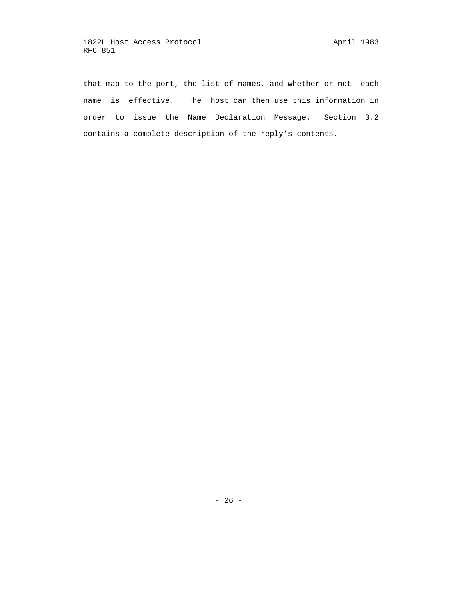that map to the port, the list of names, and whether or not each name is effective. The host can then use this information in order to issue the Name Declaration Message. Section 3.2 contains a complete description of the reply's contents.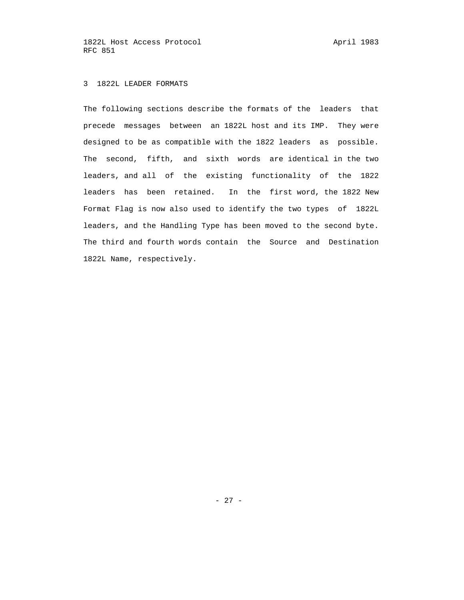1822L Host Access Protocol april 1983 RFC 851

# 3 1822L LEADER FORMATS

 The following sections describe the formats of the leaders that precede messages between an 1822L host and its IMP. They were designed to be as compatible with the 1822 leaders as possible. The second, fifth, and sixth words are identical in the two leaders, and all of the existing functionality of the 1822 leaders has been retained. In the first word, the 1822 New Format Flag is now also used to identify the two types of 1822L leaders, and the Handling Type has been moved to the second byte. The third and fourth words contain the Source and Destination 1822L Name, respectively.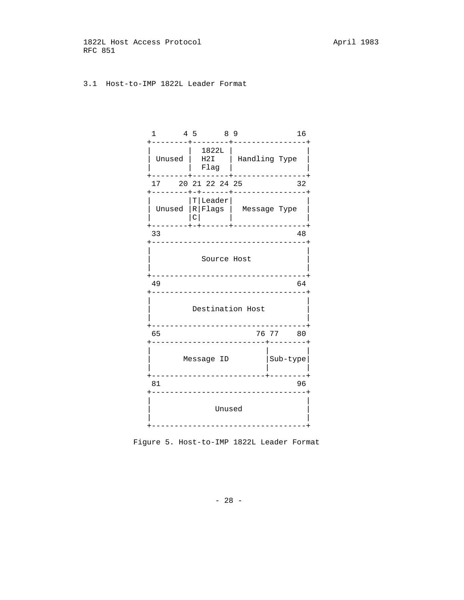1822L Host Access Protocol and April 1983 RFC 851

# 3.1 Host-to-IMP 1822L Leader Format

| $\mathbf{1}$                                                                  |       | 4 5 8 9<br>------+                           |                                      | 16                                                         |  |  |
|-------------------------------------------------------------------------------|-------|----------------------------------------------|--------------------------------------|------------------------------------------------------------|--|--|
|                                                                               |       | 1822L  <br>$\vert$ Flag $\vert$<br>---+----- | Unused   H2I   Handling Type         |                                                            |  |  |
| 17 20 21 22 24 25                                                             |       |                                              |                                      | 32<br>+--------+-+------+-----------------+                |  |  |
|                                                                               | l C l | $ T $ Leader $ $                             |                                      | Unused  R Flags   Message Type<br>------+----------------+ |  |  |
| 33                                                                            |       |                                              |                                      | 48                                                         |  |  |
| ----------------------------------<br>Source Host<br>------------------------ |       |                                              |                                      |                                                            |  |  |
| 49                                                                            |       |                                              | ______________________________       | 64                                                         |  |  |
|                                                                               |       |                                              | Destination Host<br>________________ |                                                            |  |  |
| 65                                                                            |       |                                              | ------------------------+-------     | 76 77 80                                                   |  |  |
| Message ID<br> Sub-type <br>_____________________                             |       |                                              |                                      |                                                            |  |  |
| 81                                                                            |       |                                              | ______________                       | 96                                                         |  |  |
|                                                                               |       | Unused                                       | _________________                    |                                                            |  |  |
|                                                                               |       |                                              |                                      |                                                            |  |  |

Figure 5. Host-to-IMP 1822L Leader Format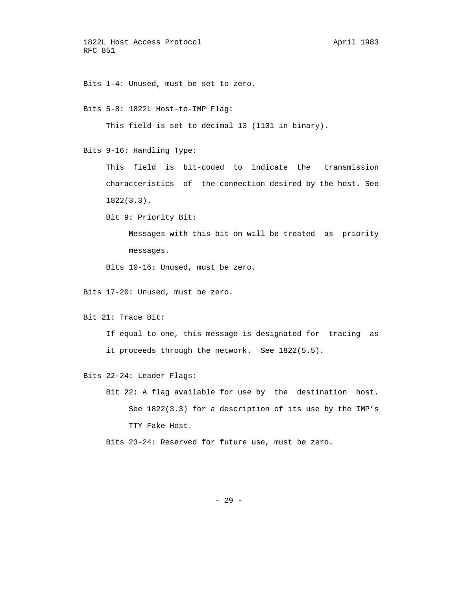1822L Host Access Protocol april 1983 RFC 851

Bits 1-4: Unused, must be set to zero.

Bits 5-8: 1822L Host-to-IMP Flag:

This field is set to decimal 13 (1101 in binary).

Bits 9-16: Handling Type:

 This field is bit-coded to indicate the transmission characteristics of the connection desired by the host. See 1822(3.3).

Bit 9: Priority Bit:

 Messages with this bit on will be treated as priority messages.

Bits 10-16: Unused, must be zero.

Bits 17-20: Unused, must be zero.

Bit 21: Trace Bit:

 If equal to one, this message is designated for tracing as it proceeds through the network. See 1822(5.5).

Bits 22-24: Leader Flags:

 Bit 22: A flag available for use by the destination host. See 1822(3.3) for a description of its use by the IMP's TTY Fake Host.

Bits 23-24: Reserved for future use, must be zero.

- 29 -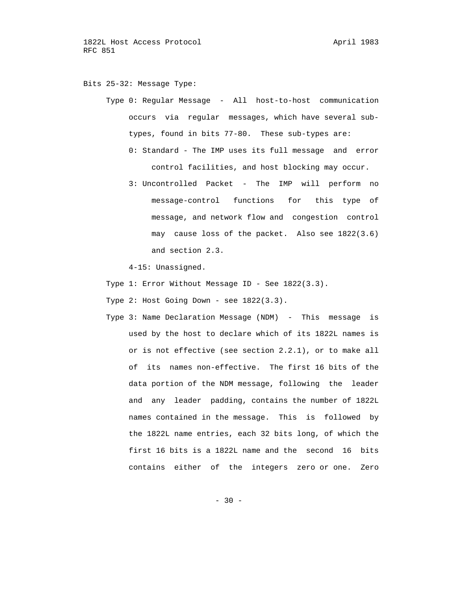Bits 25-32: Message Type:

 Type 0: Regular Message - All host-to-host communication occurs via regular messages, which have several sub types, found in bits 77-80. These sub-types are: 0: Standard - The IMP uses its full message and error

control facilities, and host blocking may occur.

 3: Uncontrolled Packet - The IMP will perform no message-control functions for this type of message, and network flow and congestion control may cause loss of the packet. Also see 1822(3.6) and section 2.3.

4-15: Unassigned.

- Type 1: Error Without Message ID See 1822(3.3).
- Type 2: Host Going Down see 1822(3.3).
- Type 3: Name Declaration Message (NDM) This message is used by the host to declare which of its 1822L names is or is not effective (see section 2.2.1), or to make all of its names non-effective. The first 16 bits of the data portion of the NDM message, following the leader and any leader padding, contains the number of 1822L names contained in the message. This is followed by the 1822L name entries, each 32 bits long, of which the first 16 bits is a 1822L name and the second 16 bits contains either of the integers zero or one. Zero

 $- 30 -$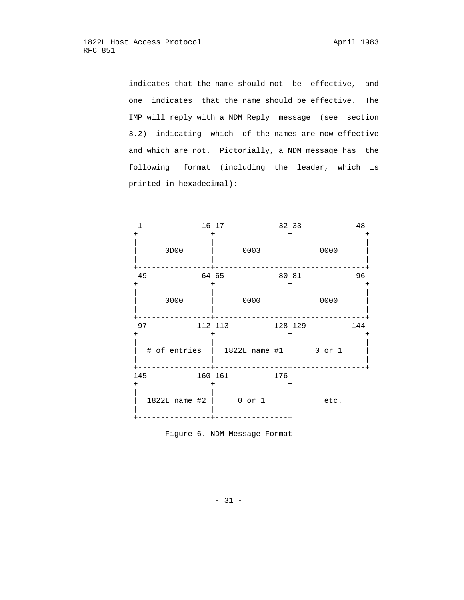indicates that the name should not be effective, and one indicates that the name should be effective. The IMP will reply with a NDM Reply message (see section 3.2) indicating which of the names are now effective and which are not. Pictorially, a NDM message has the following format (including the leader, which is printed in hexadecimal):

| 1    | 16 17   |                                             | 32 33 |         |      | 48  |
|------|---------|---------------------------------------------|-------|---------|------|-----|
| 0D00 |         | 0003                                        |       |         | 0000 |     |
| 49   | 64 65   |                                             | 80 81 |         |      | 96  |
| 0000 |         | 0000                                        |       |         | 0000 |     |
| 97   |         | 112 113                                     |       | 128 129 |      | 144 |
|      |         | $\#$ of entries   1822L name $\#1$   0 or 1 |       |         |      |     |
| 145  | 160 161 |                                             | 176   |         |      |     |
|      |         | 1822L name #2   0 or 1                      |       |         | etc. |     |

Figure 6. NDM Message Format

- 31 -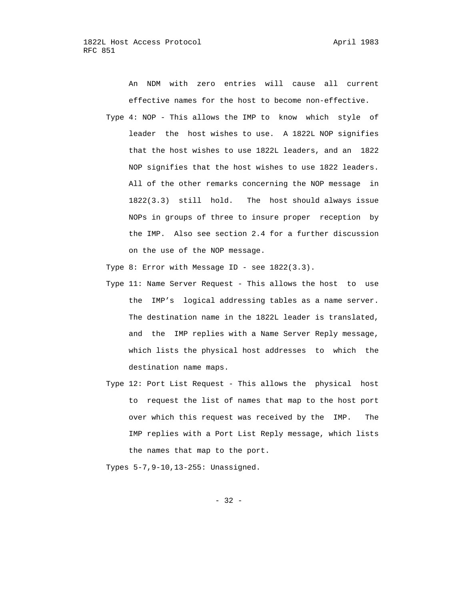An NDM with zero entries will cause all current effective names for the host to become non-effective.

 Type 4: NOP - This allows the IMP to know which style of leader the host wishes to use. A 1822L NOP signifies that the host wishes to use 1822L leaders, and an 1822 NOP signifies that the host wishes to use 1822 leaders. All of the other remarks concerning the NOP message in 1822(3.3) still hold. The host should always issue NOPs in groups of three to insure proper reception by the IMP. Also see section 2.4 for a further discussion on the use of the NOP message.

Type 8: Error with Message ID - see 1822(3.3).

- Type 11: Name Server Request This allows the host to use the IMP's logical addressing tables as a name server. The destination name in the 1822L leader is translated, and the IMP replies with a Name Server Reply message, which lists the physical host addresses to which the destination name maps.
- Type 12: Port List Request This allows the physical host to request the list of names that map to the host port over which this request was received by the IMP. The IMP replies with a Port List Reply message, which lists the names that map to the port.

Types 5-7,9-10,13-255: Unassigned.

 $- 32 -$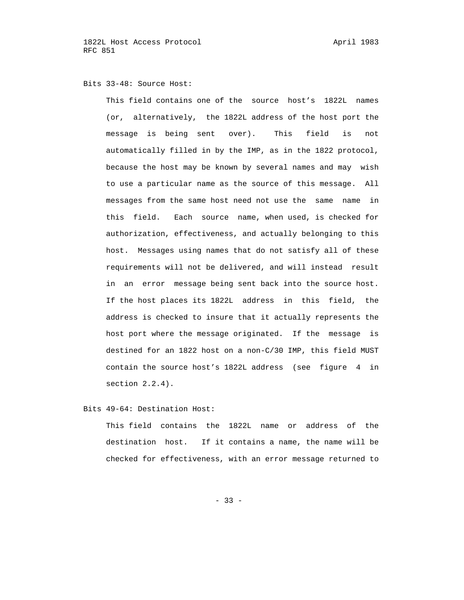#### Bits 33-48: Source Host:

 This field contains one of the source host's 1822L names (or, alternatively, the 1822L address of the host port the message is being sent over). This field is not automatically filled in by the IMP, as in the 1822 protocol, because the host may be known by several names and may wish to use a particular name as the source of this message. All messages from the same host need not use the same name in this field. Each source name, when used, is checked for authorization, effectiveness, and actually belonging to this host. Messages using names that do not satisfy all of these requirements will not be delivered, and will instead result in an error message being sent back into the source host. If the host places its 1822L address in this field, the address is checked to insure that it actually represents the host port where the message originated. If the message is destined for an 1822 host on a non-C/30 IMP, this field MUST contain the source host's 1822L address (see figure 4 in section 2.2.4).

## Bits 49-64: Destination Host:

 This field contains the 1822L name or address of the destination host. If it contains a name, the name will be checked for effectiveness, with an error message returned to

 $- 33 -$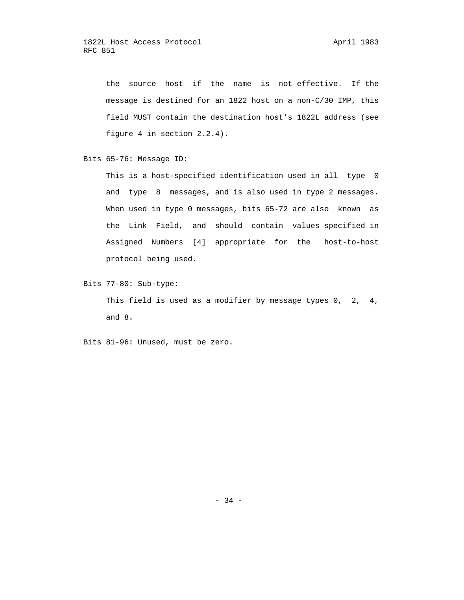the source host if the name is not effective. If the message is destined for an 1822 host on a non-C/30 IMP, this field MUST contain the destination host's 1822L address (see figure 4 in section 2.2.4).

Bits 65-76: Message ID:

 This is a host-specified identification used in all type 0 and type 8 messages, and is also used in type 2 messages. When used in type 0 messages, bits 65-72 are also known as the Link Field, and should contain values specified in Assigned Numbers [4] appropriate for the host-to-host protocol being used.

Bits 77-80: Sub-type:

This field is used as a modifier by message types 0, 2, 4, and 8.

Bits 81-96: Unused, must be zero.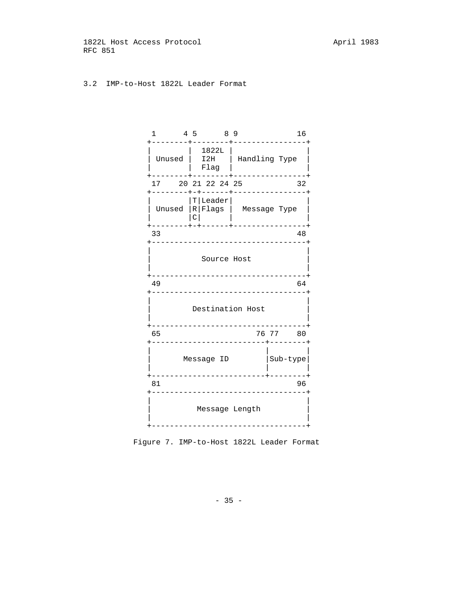1822L Host Access Protocol and April 1983 RFC 851

# 3.2 IMP-to-Host 1822L Leader Format

| 1<br>-------                                |   | 4 5 8 9<br>------+ |                                      | 16                                                                               |  |  |
|---------------------------------------------|---|--------------------|--------------------------------------|----------------------------------------------------------------------------------|--|--|
| Unused   I2H   Handling Type                |   | 1822L  <br>Flag    |                                      | -------+--------+----------------+                                               |  |  |
| 17 20 21 22 24 25                           |   |                    |                                      | 32<br>+--------+-+------+----------------+                                       |  |  |
| --------                                    | c | $ T $ Leader $ $   |                                      | Unused $\lvert R \rvert$ Flags $\lvert$ Message Type<br>------+----------------+ |  |  |
| 33                                          |   |                    | _______________________              | 48                                                                               |  |  |
|                                             |   | Source Host        |                                      | --------------------                                                             |  |  |
| 49                                          |   |                    | -----------------------------        | 64                                                                               |  |  |
|                                             |   |                    | Destination Host                     |                                                                                  |  |  |
| 65                                          |   |                    | --------+-------                     | 76 77 80                                                                         |  |  |
| Sub-type <br>Message ID                     |   |                    |                                      |                                                                                  |  |  |
| ____________<br>96<br>81<br>_______________ |   |                    |                                      |                                                                                  |  |  |
|                                             |   |                    | Message Length<br>------------------ |                                                                                  |  |  |

Figure 7. IMP-to-Host 1822L Leader Format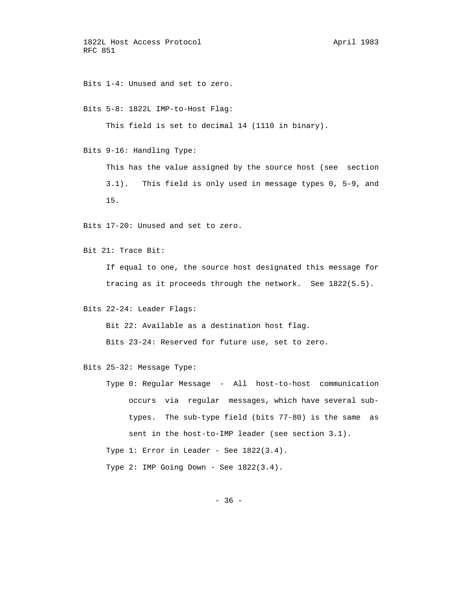1822L Host Access Protocol and April 1983 RFC 851

Bits 1-4: Unused and set to zero.

Bits 5-8: 1822L IMP-to-Host Flag:

This field is set to decimal 14 (1110 in binary).

Bits 9-16: Handling Type:

 This has the value assigned by the source host (see section 3.1). This field is only used in message types 0, 5-9, and 15.

Bits 17-20: Unused and set to zero.

Bit 21: Trace Bit:

 If equal to one, the source host designated this message for tracing as it proceeds through the network. See 1822(5.5).

Bits 22-24: Leader Flags:

Bit 22: Available as a destination host flag.

Bits 23-24: Reserved for future use, set to zero.

Bits 25-32: Message Type:

 Type 0: Regular Message - All host-to-host communication occurs via regular messages, which have several sub types. The sub-type field (bits 77-80) is the same as sent in the host-to-IMP leader (see section 3.1). Type 1: Error in Leader - See 1822(3.4). Type 2: IMP Going Down - See 1822(3.4).

 $- 36 -$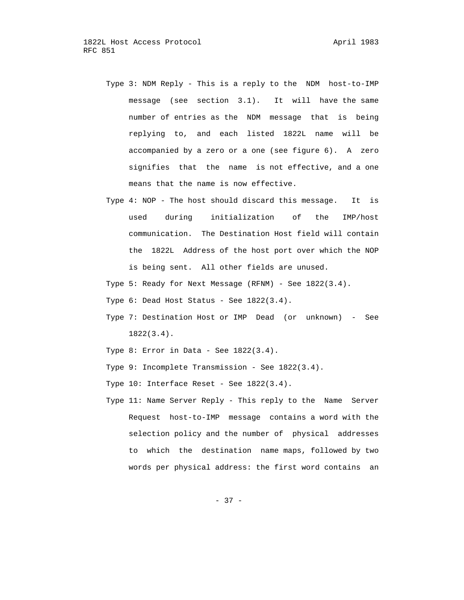- Type 3: NDM Reply This is a reply to the NDM host-to-IMP message (see section 3.1). It will have the same number of entries as the NDM message that is being replying to, and each listed 1822L name will be accompanied by a zero or a one (see figure 6). A zero signifies that the name is not effective, and a one means that the name is now effective.
- Type 4: NOP The host should discard this message. It is used during initialization of the IMP/host communication. The Destination Host field will contain the 1822L Address of the host port over which the NOP is being sent. All other fields are unused.
- Type 5: Ready for Next Message (RFNM) See 1822(3.4).
- Type 6: Dead Host Status See 1822(3.4).
- Type 7: Destination Host or IMP Dead (or unknown) See 1822(3.4).
- Type  $8:$  Error in Data See  $1822(3.4)$ .
- Type 9: Incomplete Transmission See 1822(3.4).
- Type 10: Interface Reset See 1822(3.4).
- Type 11: Name Server Reply This reply to the Name Server Request host-to-IMP message contains a word with the selection policy and the number of physical addresses to which the destination name maps, followed by two words per physical address: the first word contains an

- 37 -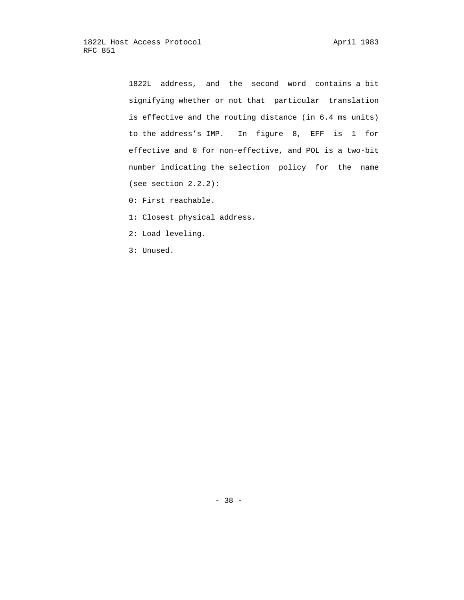1822L address, and the second word contains a bit signifying whether or not that particular translation is effective and the routing distance (in 6.4 ms units) to the address's IMP. In figure 8, EFF is 1 for effective and 0 for non-effective, and POL is a two-bit number indicating the selection policy for the name (see section 2.2.2):

- 0: First reachable.
- 1: Closest physical address.
- 2: Load leveling.
- 3: Unused.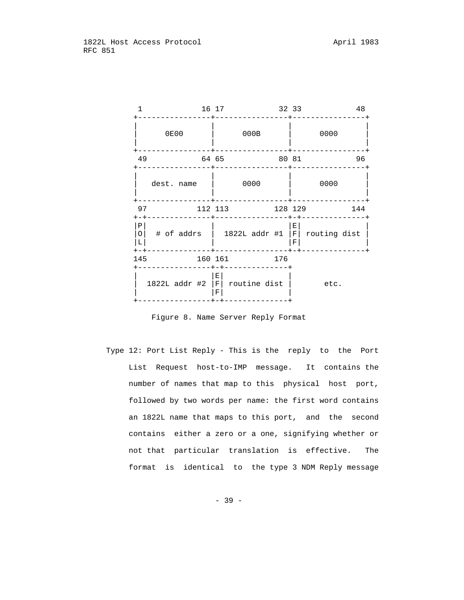|                             |               |             | 16 17   |               |                               |      | 32 33   |                      |                  | 48  |  |
|-----------------------------|---------------|-------------|---------|---------------|-------------------------------|------|---------|----------------------|------------------|-----|--|
|                             |               | <b>0E00</b> |         |               |                               | 000B |         |                      | 0000             |     |  |
| 49                          |               |             | 64 65   |               |                               |      | 80 81   |                      |                  | 96  |  |
|                             | dest. name    |             |         |               |                               | 0000 |         |                      | 0000             |     |  |
| 97<br>$+-+$                 |               |             | 112 113 |               |                               |      | 128 129 |                      |                  | 144 |  |
| Ρ<br>$\Omega$<br>L<br>$+-+$ |               |             |         |               | $\#$ of addrs   1822L addr #1 |      |         | $E_{\parallel}$<br>F | $F$ routing dist |     |  |
| 145                         |               |             | 160 161 |               |                               |      | 176     |                      |                  |     |  |
|                             | 1822L addr #2 |             |         | Е<br> F <br>F | routine dist                  |      |         |                      | etc.             |     |  |

Figure 8. Name Server Reply Format

 Type 12: Port List Reply - This is the reply to the Port List Request host-to-IMP message. It contains the number of names that map to this physical host port, followed by two words per name: the first word contains an 1822L name that maps to this port, and the second contains either a zero or a one, signifying whether or not that particular translation is effective. The format is identical to the type 3 NDM Reply message

- 39 -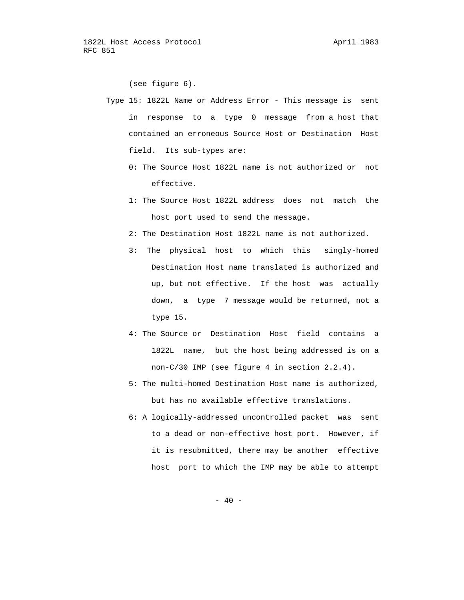(see figure 6).

- Type 15: 1822L Name or Address Error This message is sent in response to a type 0 message from a host that contained an erroneous Source Host or Destination Host field. Its sub-types are:
	- 0: The Source Host 1822L name is not authorized or not effective.
	- 1: The Source Host 1822L address does not match the host port used to send the message.
	- 2: The Destination Host 1822L name is not authorized.
	- 3: The physical host to which this singly-homed Destination Host name translated is authorized and up, but not effective. If the host was actually down, a type 7 message would be returned, not a type 15.
	- 4: The Source or Destination Host field contains a 1822L name, but the host being addressed is on a non-C/30 IMP (see figure 4 in section 2.2.4).
	- 5: The multi-homed Destination Host name is authorized, but has no available effective translations.
	- 6: A logically-addressed uncontrolled packet was sent to a dead or non-effective host port. However, if it is resubmitted, there may be another effective host port to which the IMP may be able to attempt

 $- 40 -$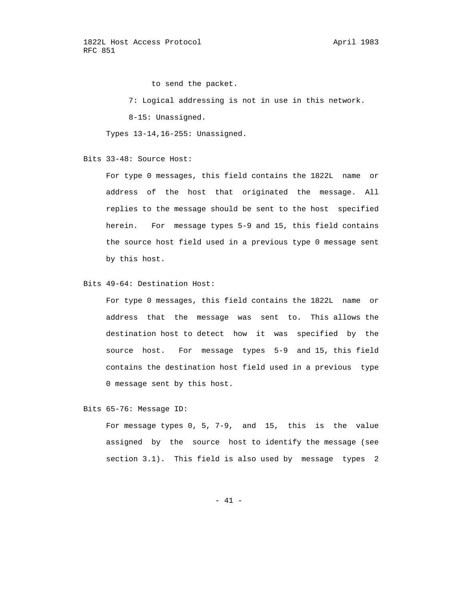1822L Host Access Protocol April 1983 RFC 851

to send the packet.

7: Logical addressing is not in use in this network.

8-15: Unassigned.

Types 13-14,16-255: Unassigned.

Bits 33-48: Source Host:

 For type 0 messages, this field contains the 1822L name or address of the host that originated the message. All replies to the message should be sent to the host specified herein. For message types 5-9 and 15, this field contains the source host field used in a previous type 0 message sent by this host.

Bits 49-64: Destination Host:

 For type 0 messages, this field contains the 1822L name or address that the message was sent to. This allows the destination host to detect how it was specified by the source host. For message types 5-9 and 15, this field contains the destination host field used in a previous type 0 message sent by this host.

Bits 65-76: Message ID:

 For message types 0, 5, 7-9, and 15, this is the value assigned by the source host to identify the message (see section 3.1). This field is also used by message types 2

- 41 -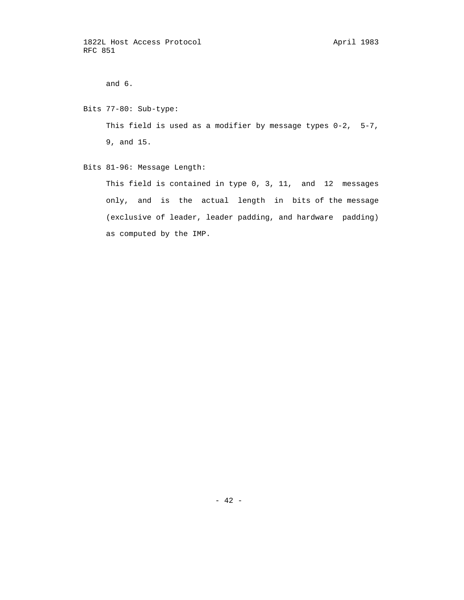and 6.

 Bits 77-80: Sub-type: This field is used as a modifier by message types 0-2, 5-7, 9, and 15.

Bits 81-96: Message Length:

 This field is contained in type 0, 3, 11, and 12 messages only, and is the actual length in bits of the message (exclusive of leader, leader padding, and hardware padding) as computed by the IMP.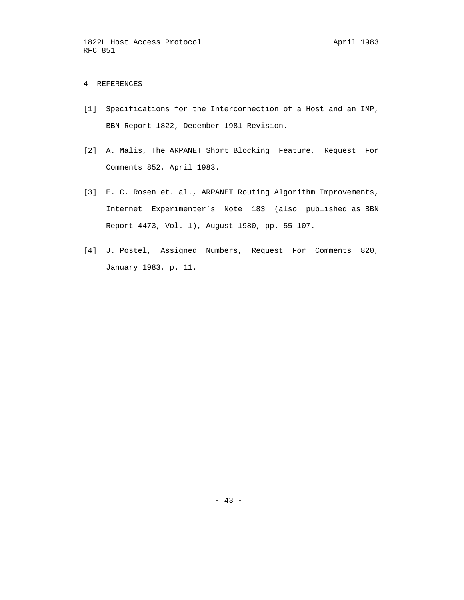# 4 REFERENCES

- [1] Specifications for the Interconnection of a Host and an IMP, BBN Report 1822, December 1981 Revision.
- [2] A. Malis, The ARPANET Short Blocking Feature, Request For Comments 852, April 1983.
- [3] E. C. Rosen et. al., ARPANET Routing Algorithm Improvements, Internet Experimenter's Note 183 (also published as BBN Report 4473, Vol. 1), August 1980, pp. 55-107.
- [4] J. Postel, Assigned Numbers, Request For Comments 820, January 1983, p. 11.